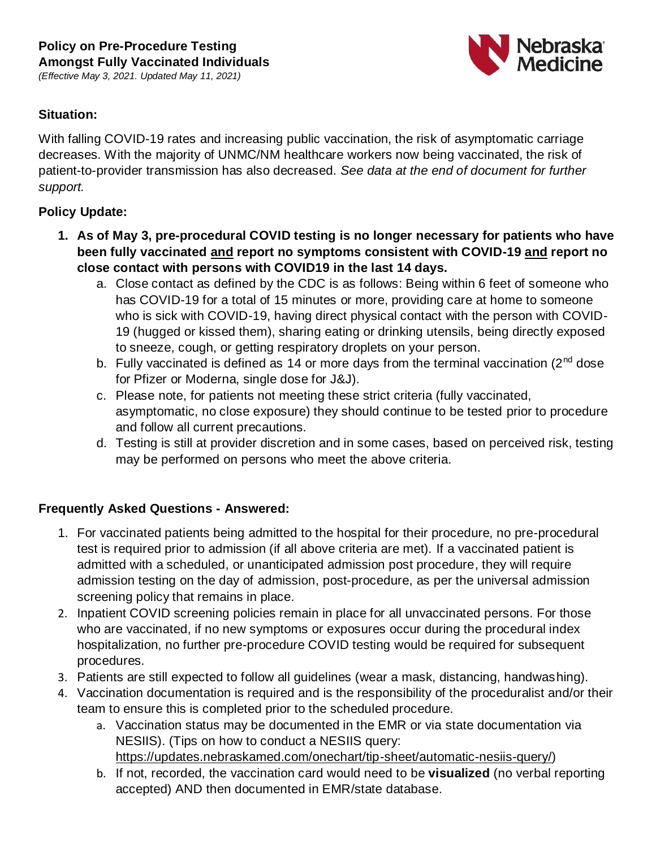*(Effective May 3, 2021. Updated May 11, 2021)*



### **Situation:**

With falling COVID-19 rates and increasing public vaccination, the risk of asymptomatic carriage decreases. With the majority of UNMC/NM healthcare workers now being vaccinated, the risk of patient-to-provider transmission has also decreased. *See data at the end of document for further support.* 

### **Policy Update:**

- **1. As of May 3, pre-procedural COVID testing is no longer necessary for patients who have been fully vaccinated and report no symptoms consistent with COVID-19 and report no close contact with persons with COVID19 in the last 14 days.** 
	- a. Close contact as defined by the CDC is as follows: Being within 6 feet of someone who has COVID-19 for a total of 15 minutes or more, providing care at home to someone who is sick with COVID-19, having direct physical contact with the person with COVID-19 (hugged or kissed them), sharing eating or drinking utensils, being directly exposed to sneeze, cough, or getting respiratory droplets on your person.
	- b. Fully vaccinated is defined as 14 or more days from the terminal vaccination ( $2<sup>nd</sup>$  dose for Pfizer or Moderna, single dose for J&J).
	- c. Please note, for patients not meeting these strict criteria (fully vaccinated, asymptomatic, no close exposure) they should continue to be tested prior to procedure and follow all current precautions.
	- d. Testing is still at provider discretion and in some cases, based on perceived risk, testing may be performed on persons who meet the above criteria.

# **Frequently Asked Questions - Answered:**

- 1. For vaccinated patients being admitted to the hospital for their procedure, no pre-procedural test is required prior to admission (if all above criteria are met). If a vaccinated patient is admitted with a scheduled, or unanticipated admission post procedure, they will require admission testing on the day of admission, post-procedure, as per the universal admission screening policy that remains in place.
- 2. Inpatient COVID screening policies remain in place for all unvaccinated persons. For those who are vaccinated, if no new symptoms or exposures occur during the procedural index hospitalization, no further pre-procedure COVID testing would be required for subsequent procedures.
- 3. Patients are still expected to follow all guidelines (wear a mask, distancing, handwashing).
- 4. Vaccination documentation is required and is the responsibility of the proceduralist and/or their team to ensure this is completed prior to the scheduled procedure.
	- a. Vaccination status may be documented in the EMR or via state documentation via NESIIS). (Tips on how to conduct a NESIIS query: [https://updates.nebraskamed.com/onechart/tip-sheet/automatic-nesiis-query/\)](https://updates.nebraskamed.com/onechart/tip-sheet/automatic-nesiis-query/)
	- b. If not, recorded, the vaccination card would need to be **visualized** (no verbal reporting accepted) AND then documented in EMR/state database.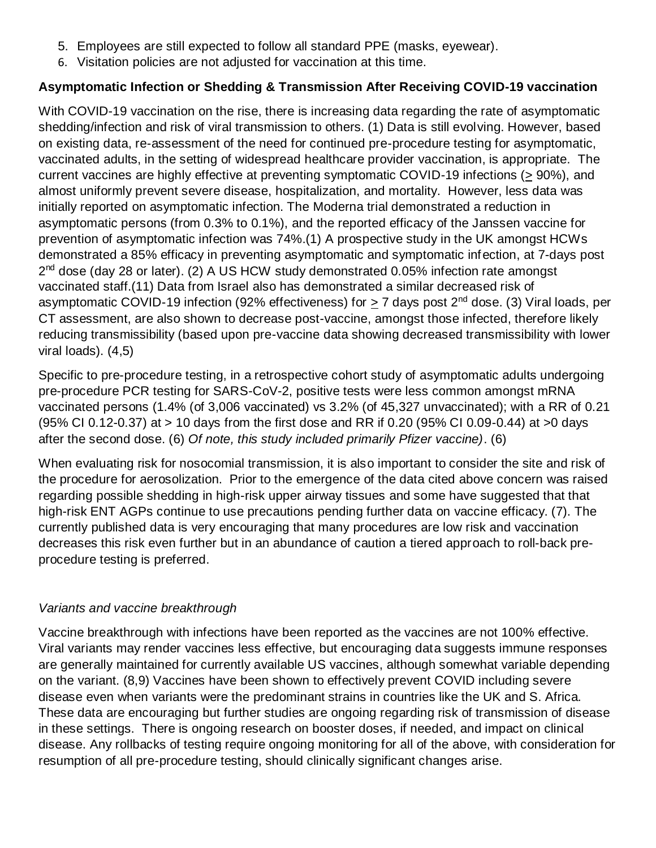- 5. Employees are still expected to follow all standard PPE (masks, eyewear).
- 6. Visitation policies are not adjusted for vaccination at this time.

# **Asymptomatic Infection or Shedding & Transmission After Receiving COVID-19 vaccination**

With COVID-19 vaccination on the rise, there is increasing data regarding the rate of asymptomatic shedding/infection and risk of viral transmission to others. (1) Data is still evolving. However, based on existing data, re-assessment of the need for continued pre-procedure testing for asymptomatic, vaccinated adults, in the setting of widespread healthcare provider vaccination, is appropriate. The current vaccines are highly effective at preventing symptomatic COVID-19 infections ( $\geq$  90%), and almost uniformly prevent severe disease, hospitalization, and mortality. However, less data was initially reported on asymptomatic infection. The Moderna trial demonstrated a reduction in asymptomatic persons (from 0.3% to 0.1%), and the reported efficacy of the Janssen vaccine for prevention of asymptomatic infection was 74%.(1) A prospective study in the UK amongst HCWs demonstrated a 85% efficacy in preventing asymptomatic and symptomatic infection, at 7-days post 2<sup>nd</sup> dose (day 28 or later). (2) A US HCW study demonstrated 0.05% infection rate amongst vaccinated staff.(11) Data from Israel also has demonstrated a similar decreased risk of asymptomatic COVID-19 infection (92% effectiveness) for  $> 7$  days post  $2<sup>nd</sup>$  dose. (3) Viral loads, per CT assessment, are also shown to decrease post-vaccine, amongst those infected, therefore likely reducing transmissibility (based upon pre-vaccine data showing decreased transmissibility with lower viral loads). (4,5)

Specific to pre-procedure testing, in a retrospective cohort study of asymptomatic adults undergoing pre-procedure PCR testing for SARS-CoV-2, positive tests were less common amongst mRNA vaccinated persons (1.4% (of 3,006 vaccinated) vs 3.2% (of 45,327 unvaccinated); with a RR of 0.21 (95% CI 0.12-0.37) at > 10 days from the first dose and RR if 0.20 (95% CI 0.09-0.44) at >0 days after the second dose. (6) *Of note, this study included primarily Pfizer vaccine)*. (6)

When evaluating risk for nosocomial transmission, it is also important to consider the site and risk of the procedure for aerosolization. Prior to the emergence of the data cited above concern was raised regarding possible shedding in high-risk upper airway tissues and some have suggested that that high-risk ENT AGPs continue to use precautions pending further data on vaccine efficacy. (7). The currently published data is very encouraging that many procedures are low risk and vaccination decreases this risk even further but in an abundance of caution a tiered approach to roll-back preprocedure testing is preferred.

#### *Variants and vaccine breakthrough*

Vaccine breakthrough with infections have been reported as the vaccines are not 100% effective. Viral variants may render vaccines less effective, but encouraging data suggests immune responses are generally maintained for currently available US vaccines, although somewhat variable depending on the variant. (8,9) Vaccines have been shown to effectively prevent COVID including severe disease even when variants were the predominant strains in countries like the UK and S. Africa. These data are encouraging but further studies are ongoing regarding risk of transmission of disease in these settings. There is ongoing research on booster doses, if needed, and impact on clinical disease. Any rollbacks of testing require ongoing monitoring for all of the above, with consideration for resumption of all pre-procedure testing, should clinically significant changes arise.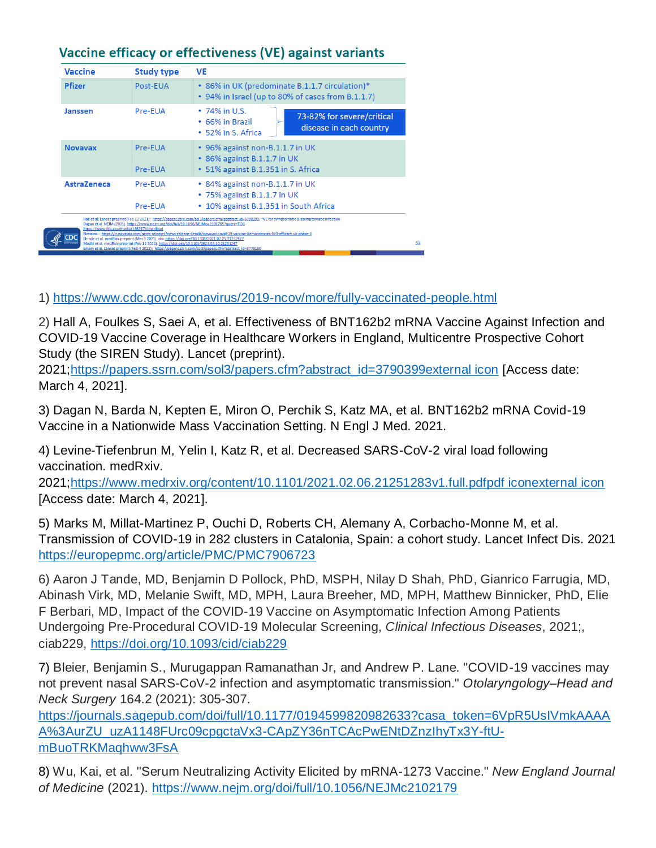| <b>Vaccine</b>     | <b>Study type</b>                                                                                                                                                                                                                                                                                                                 | VE                                                                                                                                                                                                                                                                                                                                                                                                  |
|--------------------|-----------------------------------------------------------------------------------------------------------------------------------------------------------------------------------------------------------------------------------------------------------------------------------------------------------------------------------|-----------------------------------------------------------------------------------------------------------------------------------------------------------------------------------------------------------------------------------------------------------------------------------------------------------------------------------------------------------------------------------------------------|
| <b>Pfizer</b>      | Post-EUA                                                                                                                                                                                                                                                                                                                          | • 86% in UK (predominate B.1.1.7 circulation)*<br>• 94% in Israel (up to 80% of cases from B.1.1.7)                                                                                                                                                                                                                                                                                                 |
| Janssen            | Pre-EUA                                                                                                                                                                                                                                                                                                                           | $\cdot$ 74% in U.S.<br>73-82% for severe/critical<br>• 66% in Brazil<br>disease in each country<br>• 52% in S. Africa                                                                                                                                                                                                                                                                               |
| <b>Novavax</b>     | Pre-EUA<br>Pre-EUA                                                                                                                                                                                                                                                                                                                | $\cdot$ 96% against non-B.1.1.7 in UK<br>• 86% against B.1.1.7 in UK<br>• 51% against B.1.351 in S. Africa                                                                                                                                                                                                                                                                                          |
| <b>AstraZeneca</b> | Pre-EUA<br>Pre-EUA                                                                                                                                                                                                                                                                                                                | • 84% against non-B.1.1.7 in UK<br>$\cdot$ 75% against B.1.1.7 in UK<br>• 10% against B.1.351 in South Africa                                                                                                                                                                                                                                                                                       |
|                    | Dagan et al. NEJM (2021). https://www.nejm.org/doi/full/10.1056/NEJMoa2101765?query=TOC<br>https://www.fda.gov/media/146217/download<br>Shinde et al. medRxiv preprint (Mar 3 2021); doi: https://doi.org/10.1101/2021.02.25.21252477<br>Madhi et al. medRxiv preprint (Feb 12 2021): https://doi.org/10.1101/2021.02.10.21251247 | Hall et al. Lancet preprint (Feb 22 2021): https://papers.ssrn.com/sol3/papers.cfm?abstract_id=3790399; *VE for symptomatic & asymptomatic infection<br>Novavax.: https://ir.novavax.com/news-releases/news-release-details/novavax-covid-19-vaccine-demonstrates-893-efficacy-uk-phase-3<br>Emary et al. Lancet preprint (Feb 4 2021): https://papers.ssrn.com/sol3/papers.cfm?abstract_id=3779160 |

# Vaccine efficacy or effectiveness (VE) against variants

1)<https://www.cdc.gov/coronavirus/2019-ncov/more/fully-vaccinated-people.html>

2) Hall A, Foulkes S, Saei A, et al. Effectiveness of BNT162b2 mRNA Vaccine Against Infection and COVID-19 Vaccine Coverage in Healthcare Workers in England, Multicentre Prospective Cohort Study (the SIREN Study). Lancet (preprint).

2021[;https://papers.ssrn.com/sol3/papers.cfm?abstract\\_id=3790399external icon](https://papers.ssrn.com/sol3/papers.cfm?abstract_id=3790399) [Access date: March 4, 2021].

3) Dagan N, Barda N, Kepten E, Miron O, Perchik S, Katz MA, et al. BNT162b2 mRNA Covid-19 Vaccine in a Nationwide Mass Vaccination Setting. N Engl J Med. 2021.

4) Levine-Tiefenbrun M, Yelin I, Katz R, et al. Decreased SARS-CoV-2 viral load following vaccination. medRxiv.

2021[;https://www.medrxiv.org/content/10.1101/2021.02.06.21251283v1.full.pdfpdf iconexternal icon](https://www.medrxiv.org/content/10.1101/2021.02.06.21251283v1.full.pdf) [Access date: March 4, 2021].

5) Marks M, Millat-Martinez P, Ouchi D, Roberts CH, Alemany A, Corbacho-Monne M, et al. Transmission of COVID-19 in 282 clusters in Catalonia, Spain: a cohort study. Lancet Infect Dis. 2021 <https://europepmc.org/article/PMC/PMC7906723>

6) Aaron J Tande, MD, Benjamin D Pollock, PhD, MSPH, Nilay D Shah, PhD, Gianrico Farrugia, MD, Abinash Virk, MD, Melanie Swift, MD, MPH, Laura Breeher, MD, MPH, Matthew Binnicker, PhD, Elie F Berbari, MD, Impact of the COVID-19 Vaccine on Asymptomatic Infection Among Patients Undergoing Pre-Procedural COVID-19 Molecular Screening, *Clinical Infectious Diseases*, 2021;, ciab229,<https://doi.org/10.1093/cid/ciab229>

7) Bleier, Benjamin S., Murugappan Ramanathan Jr, and Andrew P. Lane. "COVID-19 vaccines may not prevent nasal SARS-CoV-2 infection and asymptomatic transmission." *Otolaryngology–Head and Neck Surgery* 164.2 (2021): 305-307.

[https://journals.sagepub.com/doi/full/10.1177/0194599820982633?casa\\_token=6VpR5UsIVmkAAAA](https://journals.sagepub.com/doi/full/10.1177/0194599820982633?casa_token=6VpR5UsIVmkAAAAA%3AurZU_uzA1148FUrc09cpgctaVx3-CApZY36nTCAcPwENtDZnzIhyTx3Y-ftU-mBuoTRKMaqhww3FsA) [A%3AurZU\\_uzA1148FUrc09cpgctaVx3-CApZY36nTCAcPwENtDZnzIhyTx3Y-ftU](https://journals.sagepub.com/doi/full/10.1177/0194599820982633?casa_token=6VpR5UsIVmkAAAAA%3AurZU_uzA1148FUrc09cpgctaVx3-CApZY36nTCAcPwENtDZnzIhyTx3Y-ftU-mBuoTRKMaqhww3FsA)[mBuoTRKMaqhww3FsA](https://journals.sagepub.com/doi/full/10.1177/0194599820982633?casa_token=6VpR5UsIVmkAAAAA%3AurZU_uzA1148FUrc09cpgctaVx3-CApZY36nTCAcPwENtDZnzIhyTx3Y-ftU-mBuoTRKMaqhww3FsA)

8) Wu, Kai, et al. "Serum Neutralizing Activity Elicited by mRNA-1273 Vaccine." *New England Journal of Medicine* (2021).<https://www.nejm.org/doi/full/10.1056/NEJMc2102179>